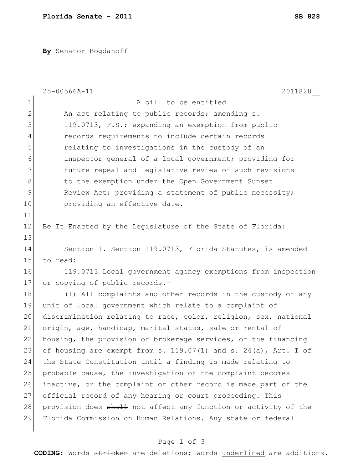**By** Senator Bogdanoff

|              | 25-00566A-11<br>2011828                                              |
|--------------|----------------------------------------------------------------------|
| 1            | A bill to be entitled                                                |
| $\mathbf{2}$ | An act relating to public records; amending s.                       |
| 3            | 119.0713, F.S.; expanding an exemption from public-                  |
| 4            | records requirements to include certain records                      |
| 5            | relating to investigations in the custody of an                      |
| 6            | inspector general of a local government; providing for               |
| 7            | future repeal and legislative review of such revisions               |
| 8            | to the exemption under the Open Government Sunset                    |
| 9            | Review Act; providing a statement of public necessity;               |
| 10           | providing an effective date.                                         |
| 11           |                                                                      |
| 12           | Be It Enacted by the Legislature of the State of Florida:            |
| 13           |                                                                      |
| 14           | Section 1. Section 119.0713, Florida Statutes, is amended            |
| 15           | to read:                                                             |
| 16           | 119.0713 Local government agency exemptions from inspection          |
| 17           | or copying of public records.-                                       |
| 18           | (1) All complaints and other records in the custody of any           |
| 19           | unit of local government which relate to a complaint of              |
| 20           | discrimination relating to race, color, religion, sex, national      |
| 21           | origin, age, handicap, marital status, sale or rental of             |
| 22           | housing, the provision of brokerage services, or the financing       |
| 23           | of housing are exempt from s. $119.07(1)$ and s. $24(a)$ , Art. I of |
| 24           | the State Constitution until a finding is made relating to           |
| 25           | probable cause, the investigation of the complaint becomes           |
| 26           | inactive, or the complaint or other record is made part of the       |
| 27           | official record of any hearing or court proceeding. This             |
| 28           | provision does shall not affect any function or activity of the      |
| 29           | Florida Commission on Human Relations. Any state or federal          |
|              |                                                                      |

## Page 1 of 3

**CODING**: Words stricken are deletions; words underlined are additions.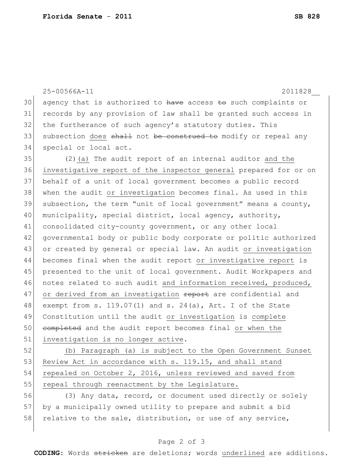25-00566A-11 2011828\_\_ agency that is authorized to have access to such complaints or records by any provision of law shall be granted such access in 32 the furtherance of such agency's statutory duties. This 33 subsection does shall not be construed to modify or repeal any special or local act. (2)(a) The audit report of an internal auditor and the investigative report of the inspector general prepared for or on behalf of a unit of local government becomes a public record when the audit or investigation becomes final. As used in this subsection, the term "unit of local government" means a county, 40 municipality, special district, local agency, authority, 41 consolidated city-county government, or any other local governmental body or public body corporate or politic authorized or created by general or special law. An audit or investigation becomes final when the audit report or investigative report is presented to the unit of local government. Audit Workpapers and 46 notes related to such audit and information received, produced, 47 or derived from an investigation report are confidential and 48 exempt from s. 119.07(1) and s. 24(a), Art. I of the State Constitution until the audit or investigation is complete 50 completed and the audit report becomes final or when the investigation is no longer active. (b) Paragraph (a) is subject to the Open Government Sunset

53 Review Act in accordance with s. 119.15, and shall stand 54 repealed on October 2, 2016, unless reviewed and saved from 55 repeal through reenactment by the Legislature.

56 (3) Any data, record, or document used directly or solely 57 by a municipally owned utility to prepare and submit a bid 58 relative to the sale, distribution, or use of any service,

## Page 2 of 3

**CODING**: Words stricken are deletions; words underlined are additions.